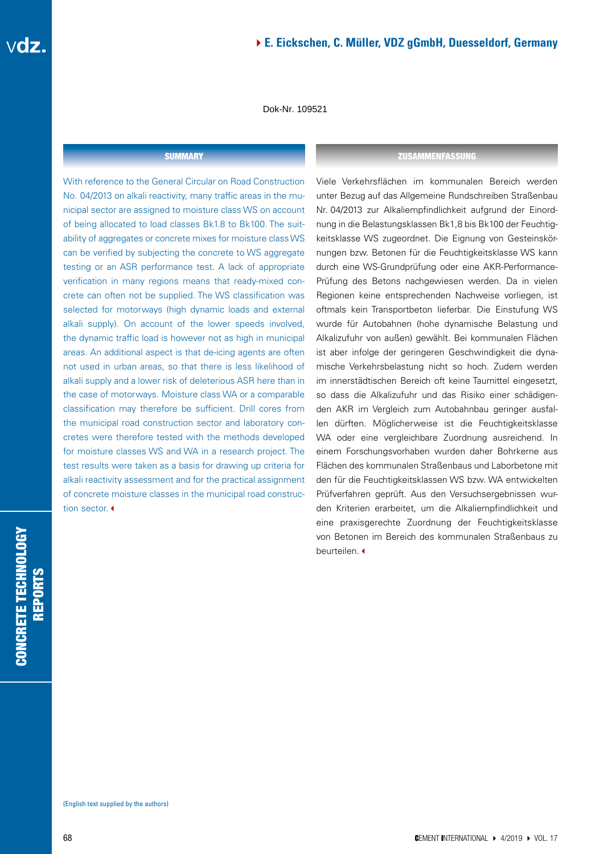Dok-Nr. 109521

With reference to the General Circular on Road Construction No. 04/2013 on alkali reactivity, many traffic areas in the municipal sector are assigned to moisture class WS on account of being allocated to load classes Bk1.8 to Bk100. The suitability of aggregates or concrete mixes for moisture class WS can be verified by subjecting the concrete to WS aggregate testing or an ASR performance test. A lack of appropriate verification in many regions means that ready-mixed concrete can often not be supplied. The WS classification was selected for motorways (high dynamic loads and external alkali supply). On account of the lower speeds involved, the dynamic traffic load is however not as high in municipal areas. An additional aspect is that de-icing agents are often not used in urban areas, so that there is less likelihood of alkali supply and a lower risk of deleterious ASR here than in the case of motorways. Moisture class WA or a comparable classification may therefore be sufficient. Drill cores from the municipal road construction sector and laboratory concretes were therefore tested with the methods developed for moisture classes WS and WA in a research project. The test results were taken as a basis for drawing up criteria for alkali reactivity assessment and for the practical assignment of concrete moisture classes in the municipal road construction sector.

#### SUMMARY ZUSAMMENFASSUNG

Viele Verkehrsflächen im kommunalen Bereich werden unter Bezug auf das Allgemeine Rundschreiben Straßenbau Nr. 04/2013 zur Alkaliempfindlichkeit aufgrund der Einordnung in die Belastungsklassen Bk1,8 bis Bk100 der Feuchtigkeitsklasse WS zugeordnet. Die Eignung von Gesteinskörnungen bzw. Betonen für die Feuchtigkeitsklasse WS kann durch eine WS-Grundprüfung oder eine AKR-Performance-Prüfung des Betons nachgewiesen werden. Da in vielen Regionen keine entsprechenden Nachweise vorliegen, ist oftmals kein Transportbeton lieferbar. Die Einstufung WS wurde für Autobahnen (hohe dynamische Belastung und Alkalizufuhr von außen) gewählt. Bei kommunalen Flächen ist aber infolge der geringeren Geschwindigkeit die dynamische Verkehrsbelastung nicht so hoch. Zudem werden im innerstädtischen Bereich oft keine Taumittel eingesetzt, so dass die Alkalizufuhr und das Risiko einer schädigenden AKR im Vergleich zum Autobahnbau geringer ausfallen dürften. Möglicherweise ist die Feuchtigkeitsklasse WA oder eine vergleichbare Zuordnung ausreichend. In einem Forschungsvorhaben wurden daher Bohrkerne aus Flächen des kommunalen Straßenbaus und Laborbetone mit den für die Feuchtigkeitsklassen WS bzw. WA entwickelten Prüfverfahren geprüft. Aus den Versuchsergebnissen wurden Kriterien erarbeitet, um die Alkaliempfindlichkeit und eine praxisgerechte Zuordnung der Feuchtigkeitsklasse von Betonen im Bereich des kommunalen Straßenbaus zu beurteilen. <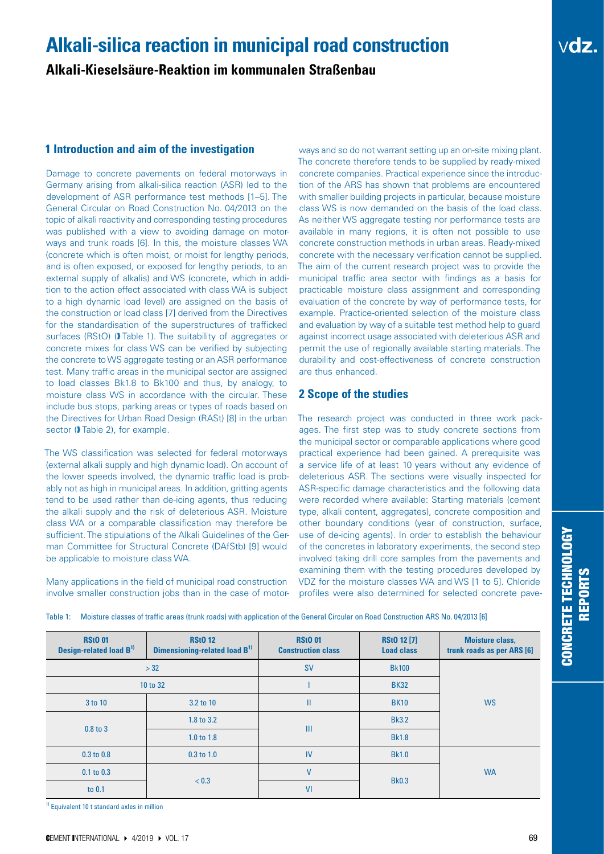## **Alkali-silica reaction in municipal road construction**

**Alkali-Kieselsäure-Reaktion im kommunalen Straßenbau**

## **1 Introduction and aim of the investigation**

Damage to concrete pavements on federal motorways in Germany arising from alkali-silica reaction (ASR) led to the development of ASR performance test methods [1–5]. The General Circular on Road Construction No. 04/2013 on the topic of alkali reactivity and corresponding testing procedures was published with a view to avoiding damage on motorways and trunk roads [6]. In this, the moisture classes WA (concrete which is often moist, or moist for lengthy periods, and is often exposed, or exposed for lengthy periods, to an external supply of alkalis) and WS (concrete, which in addition to the action effect associated with class WA is subject to a high dynamic load level) are assigned on the basis of the construction or load class [7] derived from the Directives for the standardisation of the superstructures of trafficked surfaces (RStO) (D) Table 1). The suitability of aggregates or concrete mixes for class WS can be verified by subjecting the concrete to WS aggregate testing or an ASR performance test. Many traffic areas in the municipal sector are assigned to load classes Bk1.8 to Bk100 and thus, by analogy, to moisture class WS in accordance with the circular. These include bus stops, parking areas or types of roads based on the Directives for Urban Road Design (RASt) [8] in the urban sector (*I* Table 2), for example.

The WS classification was selected for federal motorways (external alkali supply and high dynamic load). On account of the lower speeds involved, the dynamic traffic load is probably not as high in municipal areas. In addition, gritting agents tend to be used rather than de-icing agents, thus reducing the alkali supply and the risk of deleterious ASR. Moisture class WA or a comparable classification may therefore be sufficient. The stipulations of the Alkali Guidelines of the German Committee for Structural Concrete (DAfStb) [9] would be applicable to moisture class WA.

Many applications in the field of municipal road construction involve smaller construction jobs than in the case of motorways and so do not warrant setting up an on-site mixing plant. The concrete therefore tends to be supplied by ready-mixed concrete companies. Practical experience since the introduction of the ARS has shown that problems are encountered with smaller building projects in particular, because moisture class WS is now demanded on the basis of the load class. As neither WS aggregate testing nor performance tests are available in many regions, it is often not possible to use concrete construction methods in urban areas. Ready-mixed concrete with the necessary verification cannot be supplied. The aim of the current research project was to provide the municipal traffic area sector with findings as a basis for practicable moisture class assignment and corresponding evaluation of the concrete by way of performance tests, for example. Practice-oriented selection of the moisture class and evaluation by way of a suitable test method help to guard against incorrect usage associated with deleterious ASR and permit the use of regionally available starting materials. The durability and cost-effectiveness of concrete construction are thus enhanced.

## **2 Scope of the studies**

The research project was conducted in three work packages. The first step was to study concrete sections from the municipal sector or comparable applications where good practical experience had been gained. A prerequisite was a service life of at least 10 years without any evidence of deleterious ASR. The sections were visually inspected for ASR-specific damage characteristics and the following data were recorded where available: Starting materials (cement type, alkali content, aggregates), concrete composition and other boundary conditions (year of construction, surface, use of de-icing agents). In order to establish the behaviour of the concretes in laboratory experiments, the second step involved taking drill core samples from the pavements and examining them with the testing procedures developed by VDZ for the moisture classes WA and WS [1 to 5]. Chloride profiles were also determined for selected concrete pave-

|  |  |  |  | Table 1: Moisture classes of traffic areas (trunk roads) with application of the General Circular on Road Construction ARS No. 04/2013 [6] |
|--|--|--|--|--------------------------------------------------------------------------------------------------------------------------------------------|
|  |  |  |  |                                                                                                                                            |

| <b>RStO 01</b><br>Design-related load B <sup>1)</sup> | <b>RStO 12</b><br>Dimensioning-related load B <sup>1)</sup> | <b>RStO 01</b><br><b>Construction class</b> | <b>RSt0 12 [7]</b><br><b>Load class</b> | <b>Moisture class,</b><br>trunk roads as per ARS [6] |
|-------------------------------------------------------|-------------------------------------------------------------|---------------------------------------------|-----------------------------------------|------------------------------------------------------|
| >32                                                   |                                                             | <b>SV</b>                                   | <b>Bk100</b>                            |                                                      |
| 10 to 32                                              |                                                             |                                             | <b>BK32</b>                             |                                                      |
| 3 to 10                                               | 3.2 to 10                                                   | П                                           | <b>BK10</b>                             | <b>WS</b>                                            |
| $0.8$ to $3$                                          | 1.8 to 3.2                                                  | Ш                                           | <b>Bk3.2</b>                            |                                                      |
|                                                       | $1.0 \text{ to } 1.8$                                       |                                             | <b>Bk1.8</b>                            |                                                      |
| $0.3$ to $0.8$                                        | $0.3$ to $1.0$                                              | IV                                          | <b>Bk1.0</b>                            |                                                      |
| $0.1$ to $0.3$                                        |                                                             | V                                           |                                         | <b>WA</b>                                            |
| to 0.1                                                | < 0.3                                                       | VI                                          | <b>Bk0.3</b>                            |                                                      |

<sup>1)</sup> Equivalent 10 t standard axles in million

vdz.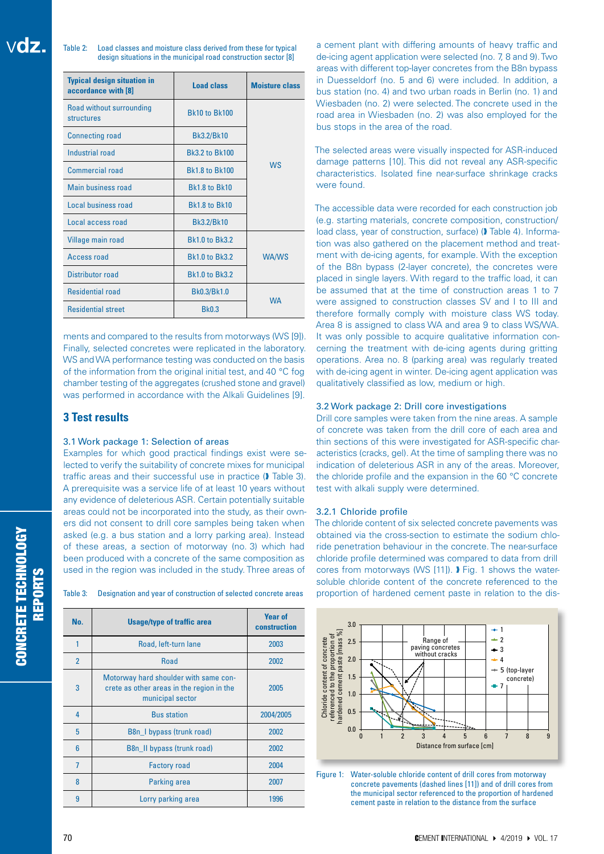Table 2: Load classes and moisture class derived from these for typical design situations in the municipal road construction sector [8]

| <b>Typical design situation in</b><br>accordance with [8] | <b>Load class</b>     | <b>Moisture class</b> |  |
|-----------------------------------------------------------|-----------------------|-----------------------|--|
| Road without surrounding<br>structures                    | <b>Bk10 to Bk100</b>  |                       |  |
| <b>Connecting road</b>                                    | Bk3.2/Bk10            |                       |  |
| Industrial road                                           | <b>Bk3.2 to Bk100</b> |                       |  |
| <b>Commercial road</b>                                    | <b>Bk1.8 to Bk100</b> | <b>WS</b>             |  |
| Main business road                                        | <b>Bk1.8 to Bk10</b>  |                       |  |
| Local business road                                       | <b>Bk1.8 to Bk10</b>  |                       |  |
| Local access road                                         | Bk3.2/Bk10            |                       |  |
| Village main road                                         | <b>Bk1.0 to Bk3.2</b> |                       |  |
| Access road                                               | <b>Bk1.0 to Bk3.2</b> | <b>WA/WS</b>          |  |
| Distributor road                                          | <b>Bk1.0 to Bk3.2</b> |                       |  |
| <b>Residential road</b>                                   | Bk0.3/Bk1.0           | <b>WA</b>             |  |
| <b>Residential street</b>                                 | <b>Bk0.3</b>          |                       |  |

ments and compared to the results from motorways (WS [9]). Finally, selected concretes were replicated in the laboratory. WS and WA performance testing was conducted on the basis of the information from the original initial test, and 40 °C fog chamber testing of the aggregates (crushed stone and gravel) was performed in accordance with the Alkali Guidelines [9].

## **3 Test results**

## 3.1 Work package 1: Selection of areas

Examples for which good practical findings exist were selected to verify the suitability of concrete mixes for municipal traffic areas and their successful use in practice ( $\blacktriangleright$  Table 3). A prerequisite was a service life of at least 10 years without any evidence of deleterious ASR. Certain potentially suitable areas could not be incorporated into the study, as their owners did not consent to drill core samples being taken when asked (e.g. a bus station and a lorry parking area). Instead of these areas, a section of motorway (no. 3) which had been produced with a concrete of the same composition as used in the region was included in the study. Three areas of

Table 3: Designation and year of construction of selected concrete areas

| No.            | <b>Usage/type of traffic area</b>                                                                      | <b>Year of</b><br>construction |
|----------------|--------------------------------------------------------------------------------------------------------|--------------------------------|
| 1              | Road, left-turn lane                                                                                   | 2003                           |
| $\overline{2}$ | <b>Road</b>                                                                                            | 2002                           |
| 3              | Motorway hard shoulder with same con-<br>crete as other areas in the region in the<br>municipal sector | 2005                           |
| 4              | <b>Bus station</b>                                                                                     | 2004/2005                      |
| 5              | B8n_I bypass (trunk road)                                                                              | 2002                           |
| 6              | B8n_II bypass (trunk road)                                                                             | 2002                           |
| 7              | <b>Factory road</b>                                                                                    | 2004                           |
| 8              | <b>Parking area</b>                                                                                    | 2007                           |
| 9              | Lorry parking area                                                                                     | 1996                           |

a cement plant with differing amounts of heavy traffic and de-icing agent application were selected (no. 7, 8 and 9). Two areas with different top-layer concretes from the B8n bypass in Duesseldorf (no. 5 and 6) were included. In addition, a bus station (no. 4) and two urban roads in Berlin (no. 1) and Wiesbaden (no. 2) were selected. The concrete used in the road area in Wiesbaden (no. 2) was also employed for the bus stops in the area of the road.

The selected areas were visually inspected for ASR-induced damage patterns [10]. This did not reveal any ASR-specific characteristics. Isolated fine near-surface shrinkage cracks were found.

The accessible data were recorded for each construction job (e.g. starting materials, concrete composition, construction/ load class, year of construction, surface) ( $\blacktriangleright$  Table 4). Information was also gathered on the placement method and treatment with de-icing agents, for example. With the exception of the B8n bypass (2-layer concrete), the concretes were placed in single layers. With regard to the traffic load, it can be assumed that at the time of construction areas 1 to 7 were assigned to construction classes SV and I to III and therefore formally comply with moisture class WS today. Area 8 is assigned to class WA and area 9 to class WS/WA. It was only possible to acquire qualitative information concerning the treatment with de-icing agents during gritting operations. Area no. 8 (parking area) was regularly treated with de-icing agent in winter. De-icing agent application was qualitatively classified as low, medium or high.

## 3.2 Work package 2: Drill core investigations

Drill core samples were taken from the nine areas. A sample of concrete was taken from the drill core of each area and thin sections of this were investigated for ASR-specific characteristics (cracks, gel). At the time of sampling there was no indication of deleterious ASR in any of the areas. Moreover, the chloride profile and the expansion in the 60 °C concrete test with alkali supply were determined.

## 3.2.1 Chloride profile

The chloride content of six selected concrete pavements was obtained via the cross-section to estimate the sodium chloride penetration behaviour in the concrete. The near-surface chloride profile determined was compared to data from drill cores from motorways (WS [11]). � Fig. 1 shows the watersoluble chloride content of the concrete referenced to the proportion of hardened cement paste in relation to the dis-



Figure 1: Water-soluble chloride content of drill cores from motorway concrete pavements (dashed lines [11]) and of drill cores from the municipal sector referenced to the proportion of hardened cement paste in relation to the distance from the surface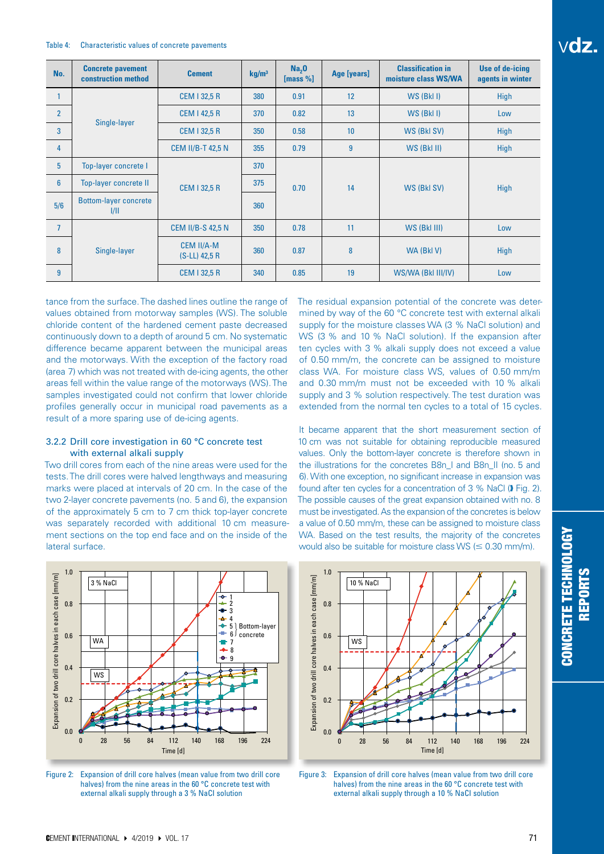#### Table 4: Characteristic values of concrete pavements

| No.             | <b>Concrete pavement</b><br>construction method | <b>Cement</b>                        | kg/m <sup>3</sup> | Na <sub>2</sub> 0<br>[mass $%$ ] | Age [years]    | <b>Classification in</b><br>moisture class WS/WA | Use of de-icing<br>agents in winter |
|-----------------|-------------------------------------------------|--------------------------------------|-------------------|----------------------------------|----------------|--------------------------------------------------|-------------------------------------|
|                 |                                                 | <b>CEM 1 32,5 R</b>                  | 380               | 0.91                             | 12             | WS (BkI I)                                       | <b>High</b>                         |
| $\overline{2}$  |                                                 | <b>CEM 1 42,5 R</b>                  | 370               | 0.82                             | 13             | WS (BkI I)                                       | Low                                 |
| 3               | Single-layer                                    | <b>CEM 1 32,5 R</b>                  | 350               | 0.58                             | 10             | WS (BkI SV)                                      | <b>High</b>                         |
| 4               |                                                 | <b>CEM II/B-T 42,5 N</b>             | 355               | 0.79                             | $\overline{9}$ | WS (BkI II)                                      | <b>High</b>                         |
| $5\phantom{.0}$ | Top-layer concrete I                            |                                      | 370               |                                  |                | WS (BkI SV)                                      | High                                |
| $6\phantom{a}$  | Top-layer concrete II                           | <b>CEM 1 32,5 R</b>                  | 375               | 0.70                             | 14             |                                                  |                                     |
| 5/6             | <b>Bottom-layer concrete</b><br>1/11            |                                      | 360               |                                  |                |                                                  |                                     |
| $\overline{7}$  |                                                 | <b>CEM II/B-S 42,5 N</b>             | 350               | 0.78                             | 11             | WS (BkI III)                                     | Low                                 |
| 8               | Single-layer                                    | <b>CEM II/A-M</b><br>$(S-LL)$ 42,5 R | 360               | 0.87                             | 8              | WA (BkI V)                                       | High                                |
| 9               |                                                 | <b>CEM 1 32,5 R</b>                  | 340               | 0.85                             | 19             | WS/WA (BkI III/IV)                               | Low                                 |

tance from the surface. The dashed lines outline the range of values obtained from motorway samples (WS). The soluble chloride content of the hardened cement paste decreased continuously down to a depth of around 5 cm. No systematic difference became apparent between the municipal areas and the motorways. With the exception of the factory road (area 7) which was not treated with de-icing agents, the other areas fell within the value range of the motorways (WS). The samples investigated could not confirm that lower chloride profiles generally occur in municipal road pavements as a result of a more sparing use of de-icing agents.

## 3.2.2 Drill core investigation in 60 °C concrete test with external alkali supply

Two drill cores from each of the nine areas were used for the tests. The drill cores were halved lengthways and measuring marks were placed at intervals of 20 cm. In the case of the two 2-layer concrete pavements (no. 5 and 6), the expansion of the approximately 5 cm to 7 cm thick top-layer concrete was separately recorded with additional 10 cm measurement sections on the top end face and on the inside of the lateral surface.



Figure 2: Expansion of drill core halves (mean value from two drill core halves) from the nine areas in the 60 °C concrete test with external alkali supply through a 3 % NaCI solution

The residual expansion potential of the concrete was determined by way of the 60 °C concrete test with external alkali supply for the moisture classes WA (3 % NaCl solution) and WS (3 % and 10 % NaCl solution). If the expansion after ten cycles with 3 % alkali supply does not exceed a value of 0.50 mm/m, the concrete can be assigned to moisture class WA. For moisture class WS, values of 0.50 mm/m and 0.30 mm/m must not be exceeded with 10 % alkali supply and 3 % solution respectively. The test duration was extended from the normal ten cycles to a total of 15 cycles.

It became apparent that the short measurement section of 10 cm was not suitable for obtaining reproducible measured values. Only the bottom-layer concrete is therefore shown in the illustrations for the concretes B8n\_I and B8n\_II (no. 5 and 6). With one exception, no significant increase in expansion was found after ten cycles for a concentration of 3 % NaCl (D Fig. 2). The possible causes of the great expansion obtained with no. 8 must be investigated. As the expansion of the concretes is below a value of 0.50 mm/m, these can be assigned to moisture class WA. Based on the test results, the majority of the concretes would also be suitable for moisture class WS ( $\leq 0.30$  mm/m).



Figure 3: Expansion of drill core halves (mean value from two drill core halves) from the nine areas in the 60 °C concrete test with external alkali supply through a 10 % NaCI solution

vdz.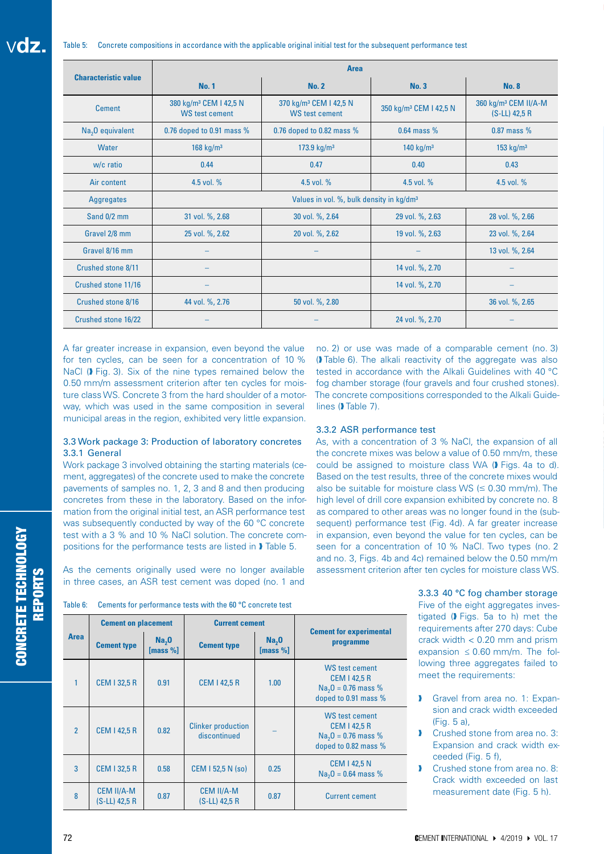| <b>Characteristic value</b>  | <b>Area</b>                                                 |                                                      |                                                                                         |                 |  |  |  |  |
|------------------------------|-------------------------------------------------------------|------------------------------------------------------|-----------------------------------------------------------------------------------------|-----------------|--|--|--|--|
|                              | <b>No. 1</b>                                                | <b>No. 2</b>                                         | No.3                                                                                    | <b>No. 8</b>    |  |  |  |  |
| <b>Cement</b>                | 380 kg/m <sup>3</sup> CEM I 42,5 N<br><b>WS test cement</b> | 370 kg/m <sup>3</sup> CEM I 42,5 N<br>WS test cement | 360 kg/m <sup>3</sup> CEM II/A-M<br>350 kg/m <sup>3</sup> CEM I 42,5 N<br>(S-LL) 42,5 R |                 |  |  |  |  |
| Na <sub>2</sub> O equivalent | 0.76 doped to 0.91 mass %                                   | 0.76 doped to 0.82 mass %                            | $0.64$ mass $%$<br>$0.87$ mass %                                                        |                 |  |  |  |  |
| Water                        | 168 kg/ $m3$                                                | 173.9 $kg/m3$                                        | 140 $kg/m3$                                                                             | 153 $kg/m3$     |  |  |  |  |
| w/c ratio                    | 0.44                                                        | 0.47                                                 | 0.40                                                                                    | 0.43            |  |  |  |  |
| Air content                  | 4.5 vol. %                                                  | 4.5 vol. %<br>4.5 vol. %                             |                                                                                         | 4.5 vol. %      |  |  |  |  |
| Aggregates                   | Values in vol. %, bulk density in kg/dm <sup>3</sup>        |                                                      |                                                                                         |                 |  |  |  |  |
| Sand 0/2 mm                  | 31 vol. %, 2.68                                             | 30 vol. %, 2.64                                      | 29 vol. %, 2.63                                                                         | 28 vol. %, 2.66 |  |  |  |  |
| Gravel 2/8 mm                | 25 vol. %, 2.62                                             | 20 vol. %, 2.62                                      | 19 vol. %, 2.63                                                                         | 23 vol. %, 2.64 |  |  |  |  |
| Gravel 8/16 mm               |                                                             |                                                      |                                                                                         | 13 vol. %, 2.64 |  |  |  |  |
| Crushed stone 8/11           |                                                             |                                                      | 14 vol. %, 2.70                                                                         |                 |  |  |  |  |
| Crushed stone 11/16          |                                                             |                                                      | 14 vol. %, 2.70                                                                         |                 |  |  |  |  |
| Crushed stone 8/16           | 44 vol. %, 2.76                                             | 50 vol. %, 2.80                                      |                                                                                         | 36 vol. %, 2.65 |  |  |  |  |
| Crushed stone 16/22          |                                                             |                                                      | 24 vol. %, 2.70                                                                         |                 |  |  |  |  |

A far greater increase in expansion, even beyond the value for ten cycles, can be seen for a concentration of 10 % NaCl ( $\blacktriangleright$  Fig. 3). Six of the nine types remained below the 0.50 mm/m assessment criterion after ten cycles for moisture class WS. Concrete 3 from the hard shoulder of a motorway, which was used in the same composition in several municipal areas in the region, exhibited very little expansion.

## 3.3 Work package 3: Production of laboratory concretes 3.3.1 General

Work package 3 involved obtaining the starting materials (cement, aggregates) of the concrete used to make the concrete pavements of samples no. 1, 2, 3 and 8 and then producing concretes from these in the laboratory. Based on the information from the original initial test, an ASR performance test was subsequently conducted by way of the 60 °C concrete test with a 3 % and 10 % NaCl solution. The concrete compositions for the performance tests are listed in � Table 5.

As the cements originally used were no longer available in three cases, an ASR test cement was doped (no. 1 and no. 2) or use was made of a comparable cement (no. 3) (� Table 6). The alkali reactivity of the aggregate was also tested in accordance with the Alkali Guidelines with 40 °C fog chamber storage (four gravels and four crushed stones). The concrete compositions corresponded to the Alkali Guidelines ( $\blacktriangleright$  Table 7).

#### 3.3.2 ASR performance test

As, with a concentration of 3 % NaCl, the expansion of all the concrete mixes was below a value of 0.50 mm/m, these could be assigned to moisture class WA (� Figs. 4a to d). Based on the test results, three of the concrete mixes would also be suitable for moisture class WS  $(\leq 0.30 \text{ mm/m})$ . The high level of drill core expansion exhibited by concrete no. 8 as compared to other areas was no longer found in the (subsequent) performance test (Fig. 4d). A far greater increase in expansion, even beyond the value for ten cycles, can be seen for a concentration of 10 % NaCl. Two types (no. 2 and no. 3, Figs. 4b and 4c) remained below the 0.50 mm/m assessment criterion after ten cycles for moisture class WS.

| Table 6: |  |  |  | Cements for performance tests with the 60 °C concrete test |
|----------|--|--|--|------------------------------------------------------------|
|----------|--|--|--|------------------------------------------------------------|

|                          | <b>Cement on placement</b>         |                                  | <b>Current cement</b>                               |      |                                                                                       |  |
|--------------------------|------------------------------------|----------------------------------|-----------------------------------------------------|------|---------------------------------------------------------------------------------------|--|
| <b>Area</b>              | <b>Cement type</b>                 | Na <sub>2</sub> 0<br>[mass $%$ ] | Na <sub>2</sub> 0<br><b>Cement type</b><br>[mass %] |      | <b>Cement for experimental</b><br>programme                                           |  |
|                          | <b>CEM I 32,5 R</b>                | 0.91                             | <b>CEM I 42,5 R</b>                                 | 1.00 | WS test cement<br><b>CEM 142,5 R</b><br>$Na2O = 0.76$ mass %<br>doped to 0.91 mass %  |  |
| $\overline{\phantom{a}}$ | <b>CEM I 42,5 R</b>                | 0.82                             | <b>Clinker production</b><br>discontinued           |      | WS test cement<br><b>CEM 1 42,5 R</b><br>$Na2O = 0.76$ mass %<br>doped to 0.82 mass % |  |
| 3                        | <b>CEM 132,5 R</b>                 | 0.58                             | CEM I 52,5 N (so)                                   | 0.25 | <b>CEM I 42,5 N</b><br>$Na2O = 0.64$ mass %                                           |  |
| 8                        | <b>CEM II/A-M</b><br>(S-LL) 42,5 R | 0.87                             | <b>CEM II/A-M</b><br>(S-LL) 42,5 R                  | 0.87 | <b>Current cement</b>                                                                 |  |

3.3.3 40 °C fog chamber storage Five of the eight aggregates investigated (� Figs. 5a to h) met the requirements after 270 days: Cube crack width < 0.20 mm and prism expansion  $\leq 0.60$  mm/m. The following three aggregates failed to meet the requirements:

- **I** Gravel from area no. 1: Expansion and crack width exceeded (Fig. 5 a),
- **I** Crushed stone from area no. 3: Expansion and crack width exceeded (Fig. 5 f),
- Crushed stone from area no. 8: Crack width exceeded on last measurement date (Fig. 5 h).

CONCRETE TECHNOLOGY REPORTS

**CONCRETE TECHNOLOGY**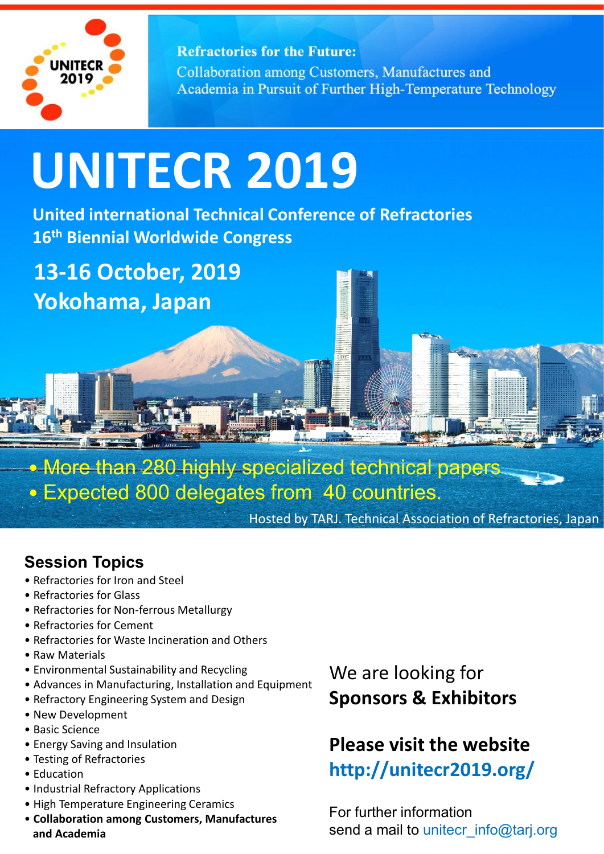

**Refractories for the Future:** Collaboration among Customers, Manufactures and Academia in Pursuit of Further High-Temperature Technology

# **UNITECR 2019**

**United international Technical Conference of Refractories 16th Biennial Worldwide Congress**

**13-16 October, 2019 Yokohama, Japan**

• Mo<del>re than 280 hig</del>hly specialized technical p<del>aper</del>s • Expected 800 delegates from 40 countries.

> CONCRETE TECHNOLOGY Hosted by TARJ. Technical Association of Refractories, Japan

## **Session Topics**

- Refractories for Iron and Steel
- Refractories for Glass
- Refractories for Non-ferrous Metallurgy
- Refractories for Cement
- Refractories for Waste Incineration and Others
- Raw Materials
- Environmental Sustainability and Recycling
- Advances in Manufacturing, Installation and Equipment
- Refractory Engineering System and Design
- New Development
- Basic Science
- Energy Saving and Insulation
- Testing of Refractories
- Education
- Industrial Refractory Applications
- High Temperature Engineering Ceramics
- d Academia **Sanctary Component Component Component Component Component Component Component Component Component Component Component Component Component Component Component Component Component Component Component Component C** • **Collaboration among Customers, Manufactures and Academia**

## We are looking for **Sponsors & Exhibitors**

## **Please visit the website http://unitecr2019.org/**

For further information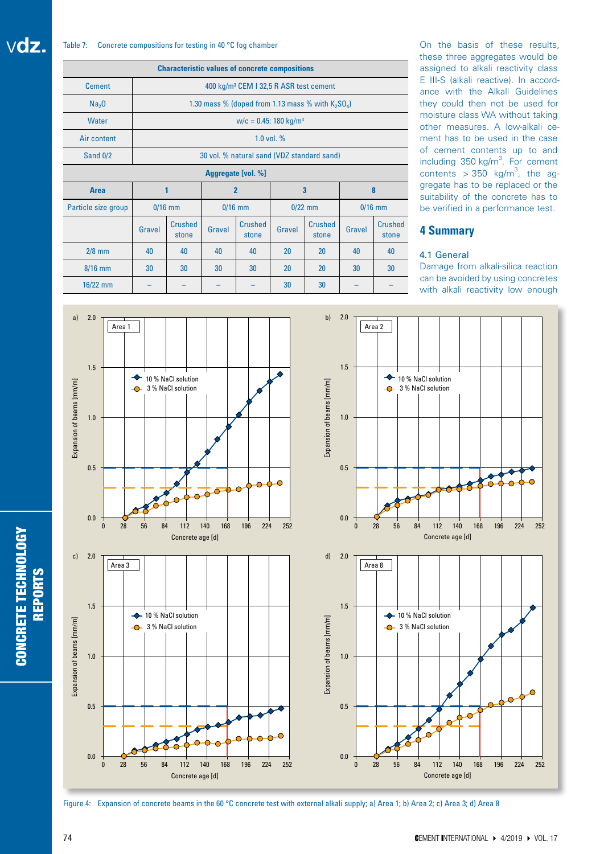#### Table 7: Concrete compositions for testing in 40 °C fog chamber

| <b>Characteristic values of concrete compositions</b> |                                                      |  |  |  |  |
|-------------------------------------------------------|------------------------------------------------------|--|--|--|--|
| Cement                                                | 400 kg/m <sup>3</sup> CEM I 32,5 R ASR test cement   |  |  |  |  |
| Na <sub>2</sub> 0                                     | 1.30 mass % (doped from 1.13 mass % with $K_2SO_a$ ) |  |  |  |  |
| <b>Water</b>                                          | $w/c = 0.45$ : 180 kg/m <sup>3</sup>                 |  |  |  |  |
| Air content                                           | 1.0 vol. $%$                                         |  |  |  |  |
| Sand 0/2                                              | 30 vol. % natural sand (VDZ standard sand)           |  |  |  |  |
|                                                       | Aggregate [vol. %]                                   |  |  |  |  |

| <b>Area</b>         |        |                  |        |                         |        |                         |        |                         |
|---------------------|--------|------------------|--------|-------------------------|--------|-------------------------|--------|-------------------------|
| Particle size group |        | $0/16$ mm        |        | $0/16$ mm<br>$0/22$ mm  |        |                         |        | $0/16$ mm               |
|                     | Gravel | Crushed<br>stone | Gravel | <b>Crushed</b><br>stone | Gravel | <b>Crushed</b><br>stone | Gravel | <b>Crushed</b><br>stone |
| $2/8$ mm            | 40     | 40               | 40     | 40                      | 20     | 20                      | 40     | 40                      |
| $8/16$ mm           | 30     | 30               | 30     | 30                      | 20     | 20                      | 30     | 30                      |
| $16/22$ mm          |        |                  |        |                         | 30     | 30                      |        |                         |

On the basis of these results, these three aggregates would be assigned to alkali reactivity class E III-S (alkali reactive). In accordance with the Alkali Guidelines they could then not be used for moisture class WA without taking other measures. A low-alkali cement has to be used in the case of cement contents up to and including  $350$  kg/m<sup>3</sup>. For cement contents  $>$  350 kg/m<sup>3</sup>, the aggregate has to be replaced or the suitability of the concrete has to be verified in a performance test.

## **4 Summary**

## 4.1 General

Damage from alkali-silica reaction can be avoided by using concretes with alkali reactivity low enough



Concrete age [d]





CONCRETE TECHNOLOGY REPORTS

**CONCRETE TECHNOLOGY REPORTS**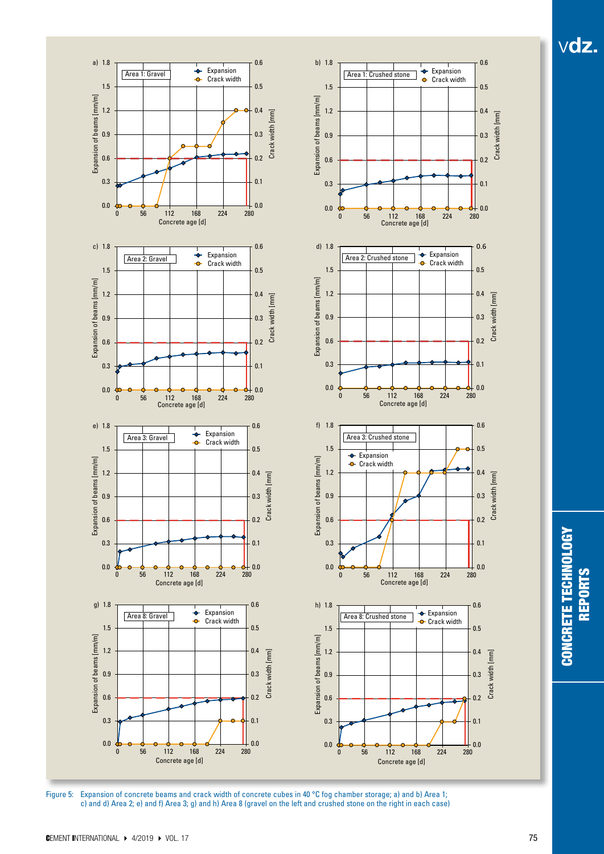

Figure 5: Expansion of concrete beams and crack width of concrete cubes in 40 °C fog chamber storage; a) and b) Area 1; c) and d) Area 2; e) and f) Area 3; g) and h) Area 8 (gravel on the left and crushed stone on the right in each case) **CONCRETE TECHNOLOGY** CONCRETE TECHNOLOGY **REPORTS** REPORTS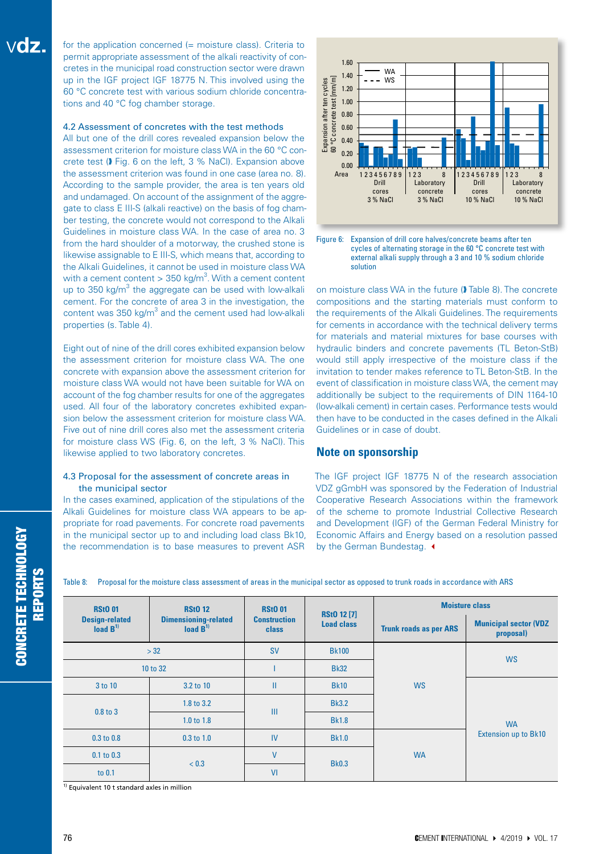for the application concerned (= moisture class). Criteria to permit appropriate assessment of the alkali reactivity of concretes in the municipal road construction sector were drawn up in the IGF project IGF 18775 N. This involved using the 60 °C concrete test with various sodium chloride concentrations and 40 °C fog chamber storage.

## 4.2 Assessment of concretes with the test methods

All but one of the drill cores revealed expansion below the assessment criterion for moisture class WA in the 60 °C concrete test (� Fig. 6 on the left, 3 % NaCl). Expansion above the assessment criterion was found in one case (area no. 8). According to the sample provider, the area is ten years old and undamaged. On account of the assignment of the aggregate to class E III-S (alkali reactive) on the basis of fog chamber testing, the concrete would not correspond to the Alkali Guidelines in moisture class WA. In the case of area no. 3 from the hard shoulder of a motorway, the crushed stone is likewise assignable to E III-S, which means that, according to the Alkali Guidelines, it cannot be used in moisture class WA with a cement content  $> 350$  kg/m<sup>3</sup>. With a cement content up to 350 kg/m $^3$  the aggregate can be used with low-alkali cement. For the concrete of area 3 in the investigation, the content was  $350$  kg/m<sup>3</sup> and the cement used had low-alkali properties (s. Table 4).

Eight out of nine of the drill cores exhibited expansion below the assessment criterion for moisture class WA. The one concrete with expansion above the assessment criterion for moisture class WA would not have been suitable for WA on account of the fog chamber results for one of the aggregates used. All four of the laboratory concretes exhibited expansion below the assessment criterion for moisture class WA. Five out of nine drill cores also met the assessment criteria for moisture class WS (Fig. 6, on the left, 3 % NaCl). This likewise applied to two laboratory concretes.

## 4.3 Proposal for the assessment of concrete areas in the municipal sector

In the cases examined, application of the stipulations of the Alkali Guidelines for moisture class WA appears to be appropriate for road pavements. For concrete road pavements in the municipal sector up to and including load class Bk10, the recommendation is to base measures to prevent ASR



Figure 6: Expansion of drill core halves/concrete beams after ten cycles of alternating storage in the 60 °C concrete test with external alkali supply through a 3 and 10 % sodium chloride solution

on moisture class WA in the future (� Table 8). The concrete compositions and the starting materials must conform to the requirements of the Alkali Guidelines. The requirements for cements in accordance with the technical delivery terms for materials and material mixtures for base courses with hydraulic binders and concrete pavements (TL Beton-StB) would still apply irrespective of the moisture class if the invitation to tender makes reference to TL Beton-StB. In the event of classification in moisture class WA, the cement may additionally be subject to the requirements of DIN 1164-10 (low-alkali cement) in certain cases. Performance tests would then have to be conducted in the cases defined in the Alkali Guidelines or in case of doubt.

## **Note on sponsorship**

The IGF project IGF 18775 N of the research association VDZ gGmbH was sponsored by the Federation of Industrial Cooperative Research Associations within the framework of the scheme to promote Industrial Collective Research and Development (IGF) of the German Federal Ministry for Economic Affairs and Energy based on a resolution passed by the German Bundestag.  $\triangleleft$ 

| <b>RStO 01</b>                                  | <b>RStO 12</b>                                          | <b>RStO 01</b>                      | <b>RSt0 12 [7]</b> |                               | <b>Moisture class</b>                     |  |
|-------------------------------------------------|---------------------------------------------------------|-------------------------------------|--------------------|-------------------------------|-------------------------------------------|--|
| <b>Design-related</b><br>load $B$ <sup>1)</sup> | <b>Dimensioning-related</b><br>load $\overline{B}^{1)}$ | <b>Construction</b><br><b>class</b> | <b>Load class</b>  | <b>Trunk roads as per ARS</b> | <b>Municipal sector (VDZ</b><br>proposal) |  |
|                                                 | > 32                                                    | <b>SV</b>                           | <b>Bk100</b>       |                               |                                           |  |
|                                                 | 10 to 32                                                | <b>Bk32</b>                         |                    |                               | <b>WS</b>                                 |  |
| 3 to 10                                         | 3.2 to 10                                               | П                                   | <b>Bk10</b>        | <b>WS</b>                     |                                           |  |
| 0.8 to 3                                        | 1.8 to 3.2                                              | III                                 | <b>Bk3.2</b>       |                               | <b>WA</b>                                 |  |
|                                                 | 1.0 to 1.8                                              |                                     | <b>Bk1.8</b>       |                               |                                           |  |
| $0.3$ to $0.8$                                  | $0.3$ to $1.0$                                          | IV                                  | <b>Bk1.0</b>       |                               | <b>Extension up to Bk10</b>               |  |
| $0.1$ to $0.3$                                  |                                                         | $\mathsf{V}$                        |                    | <b>WA</b>                     |                                           |  |
| to 0.1                                          | < 0.3                                                   | VI                                  | <b>Bk0.3</b>       |                               |                                           |  |

Table 8: Proposal for the moisture class assessment of areas in the municipal sector as opposed to trunk roads in accordance with ARS

 $\overline{1}$ <sup>1)</sup> Equivalent 10 t standard axles in million